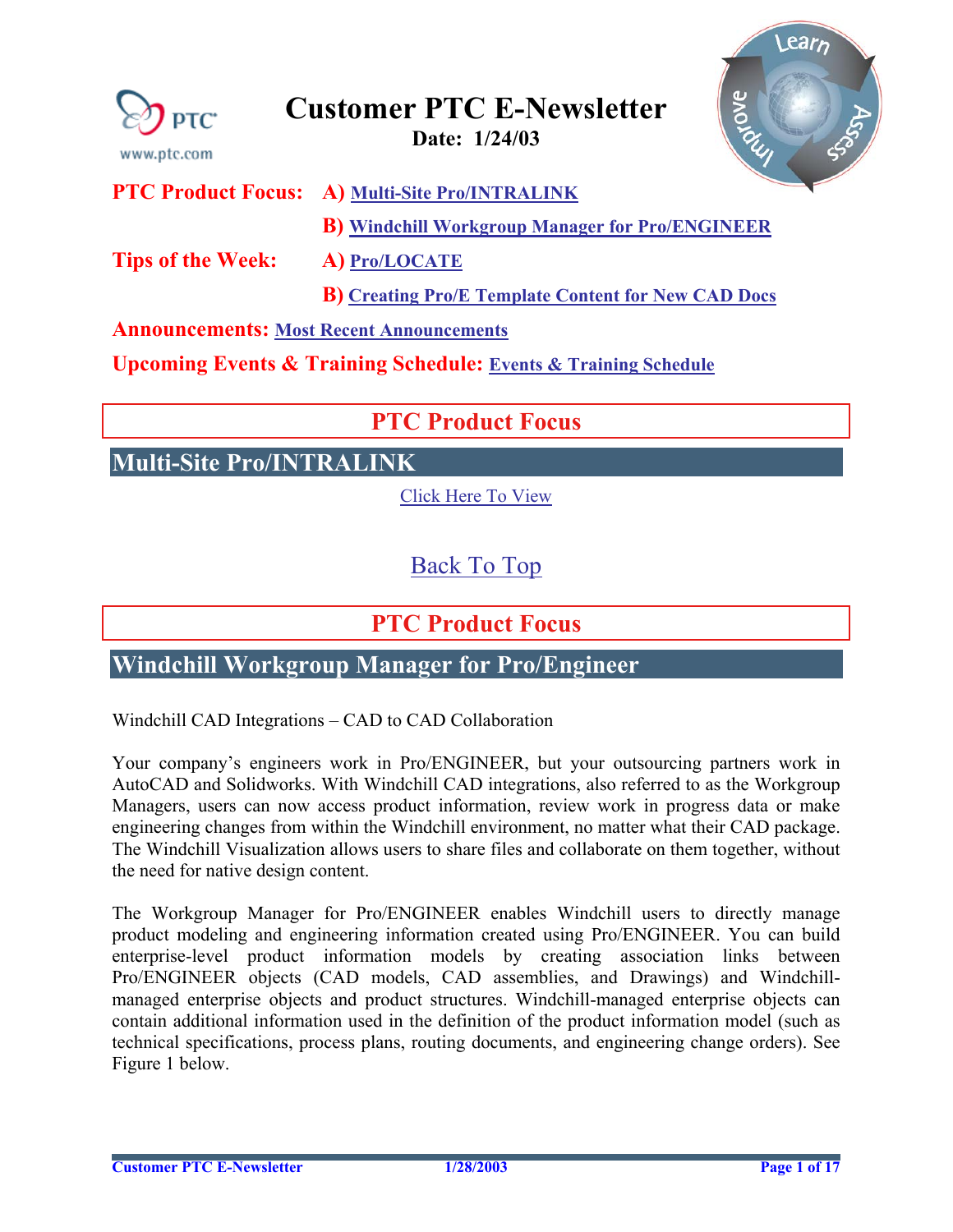<span id="page-0-0"></span>

## **Customer PTC E-Newsletter Date: 1/24/03**

Learn e duy

**PTC Product Focus: A) [Multi-Site](#page-0-0) Pro/INTRALINK**

**B) [Windchill Workgroup Manager for Pro/ENGINEER](#page-0-0)**

**Tips of the Week: A) [Pro/LOCATE](#page-3-0)** 

**B) [Creating Pro/E Template Content for New CAD Docs](#page-3-0)**

**Announcements: [Most Recent Announcements](#page-13-0)** 

**Upcoming Events & Training Schedule: [Events & Training Schedule](#page-16-0)**

## **PTC Product Focus**

**Multi-Site Pro/INTRALINK** 

[Click Here To View](http://www.ptc-mss.com/Tutorial/Tip_Tech/Customer PTC E-Newsletter 1-24-2003_A.pdf)

[Back To Top](#page-0-0)

**PTC Product Focus** 

**Windchill Workgroup Manager for Pro/Engineer** 

Windchill CAD Integrations – CAD to CAD Collaboration

Your company's engineers work in Pro/ENGINEER, but your outsourcing partners work in AutoCAD and Solidworks. With Windchill CAD integrations, also referred to as the Workgroup Managers, users can now access product information, review work in progress data or make engineering changes from within the Windchill environment, no matter what their CAD package. The Windchill Visualization allows users to share files and collaborate on them together, without the need for native design content.

The Workgroup Manager for Pro/ENGINEER enables Windchill users to directly manage product modeling and engineering information created using Pro/ENGINEER. You can build enterprise-level product information models by creating association links between Pro/ENGINEER objects (CAD models, CAD assemblies, and Drawings) and Windchillmanaged enterprise objects and product structures. Windchill-managed enterprise objects can contain additional information used in the definition of the product information model (such as technical specifications, process plans, routing documents, and engineering change orders). See Figure 1 below.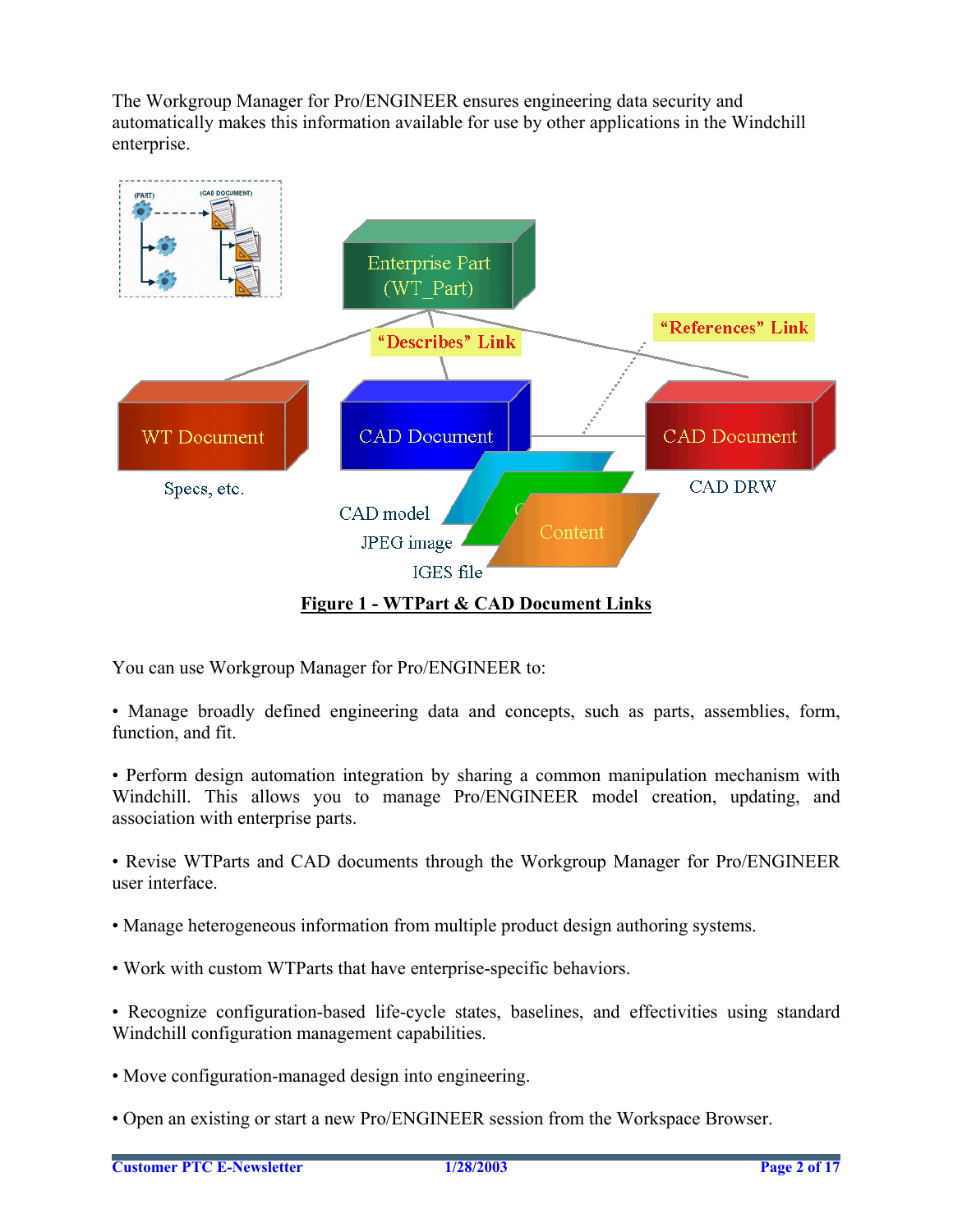The Workgroup Manager for Pro/ENGINEER ensures engineering data security and automatically makes this information available for use by other applications in the Windchill enterprise.



You can use Workgroup Manager for Pro/ENGINEER to:

- Manage broadly defined engineering data and concepts, such as parts, assemblies, form, function, and fit.
- Perform design automation integration by sharing a common manipulation mechanism with Windchill. This allows you to manage Pro/ENGINEER model creation, updating, and association with enterprise parts.
- Revise WTParts and CAD documents through the Workgroup Manager for Pro/ENGINEER user interface.
- Manage heterogeneous information from multiple product design authoring systems.
- Work with custom WTParts that have enterprise-specific behaviors.
- Recognize configuration-based life-cycle states, baselines, and effectivities using standard Windchill configuration management capabilities.
- Move configuration-managed design into engineering.
- Open an existing or start a new Pro/ENGINEER session from the Workspace Browser.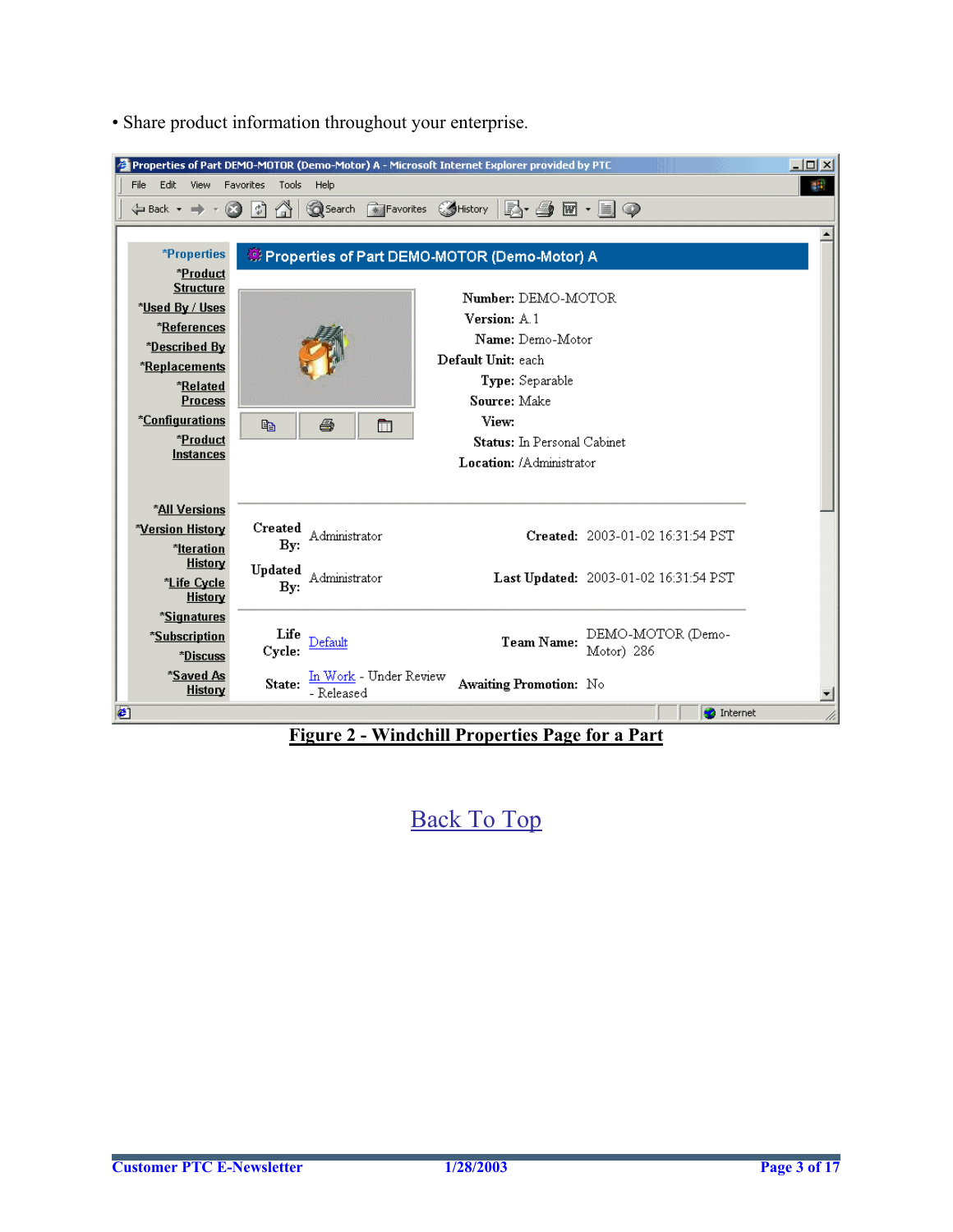| Properties of Part DEMO-MOTOR (Demo-Motor) A - Microsoft Internet Explorer provided by PTC                                                           |                                                                       |                                             |                                       | $ \Box$ $\times$ |
|------------------------------------------------------------------------------------------------------------------------------------------------------|-----------------------------------------------------------------------|---------------------------------------------|---------------------------------------|------------------|
| Edit<br>File<br>View<br><b>Favorites</b><br>Tools<br>m<br>$\left  \downarrow \right $<br>$\leftarrow$ Back $\rightarrow$ $\rightarrow$ $\rightarrow$ | Help<br><b>Q</b> Search <b>The Favorites</b> ①History   A - A 图 - 目 ② |                                             |                                       | 鄉                |
|                                                                                                                                                      |                                                                       |                                             |                                       |                  |
| *Properties                                                                                                                                          | Properties of Part DEMO-MOTOR (Demo-Motor) A                          |                                             |                                       |                  |
| *Product<br><b>Structure</b>                                                                                                                         |                                                                       | Number: DEMO-MOTOR                          |                                       |                  |
| *Used By / Uses<br>*References                                                                                                                       |                                                                       | Version: A 1                                |                                       |                  |
| *Described By                                                                                                                                        |                                                                       | Name: Demo-Motor                            |                                       |                  |
| *Replacements                                                                                                                                        |                                                                       | Default Unit: each                          |                                       |                  |
| *Related                                                                                                                                             |                                                                       | Type: Separable                             |                                       |                  |
| <b>Process</b>                                                                                                                                       |                                                                       | Source: Make                                |                                       |                  |
| *Configurations<br>e <sub>b</sub><br>*Product                                                                                                        | 4<br>m                                                                | View:<br><b>Status:</b> In Personal Cabinet |                                       |                  |
| <b>Instances</b>                                                                                                                                     |                                                                       | Location: /Administrator                    |                                       |                  |
|                                                                                                                                                      |                                                                       |                                             |                                       |                  |
| *All Versions                                                                                                                                        |                                                                       |                                             |                                       |                  |
| Created<br><b>*Version History</b>                                                                                                                   | Administrator                                                         |                                             | Created: 2003-01-02 16:31:54 PST      |                  |
| Bv:<br>*Iteration<br>History                                                                                                                         |                                                                       |                                             |                                       |                  |
| Updated<br>*Life Cycle<br>By:                                                                                                                        | Administrator                                                         |                                             | Last Updated: 2003-01-02 16:31:54 PST |                  |
| History                                                                                                                                              |                                                                       |                                             |                                       |                  |
| *Signatures                                                                                                                                          |                                                                       |                                             |                                       |                  |
| Life<br>*Subscription<br>Cycle:<br>*Discuss                                                                                                          | Default                                                               | <b>Team Name:</b>                           | DEMO-MOTOR (Demo-<br>Motor) 286       |                  |
| *Saved As<br>State:<br>History                                                                                                                       | In Work - Under Review<br>- Released                                  | Awaiting Promotion: No                      |                                       | ≛                |
| O                                                                                                                                                    |                                                                       |                                             | <b>O</b> Internet                     |                  |

• Share product information throughout your enterprise.

**Figure 2 - Windchill Properties Page for a Part**

[Back To Top](#page-0-0)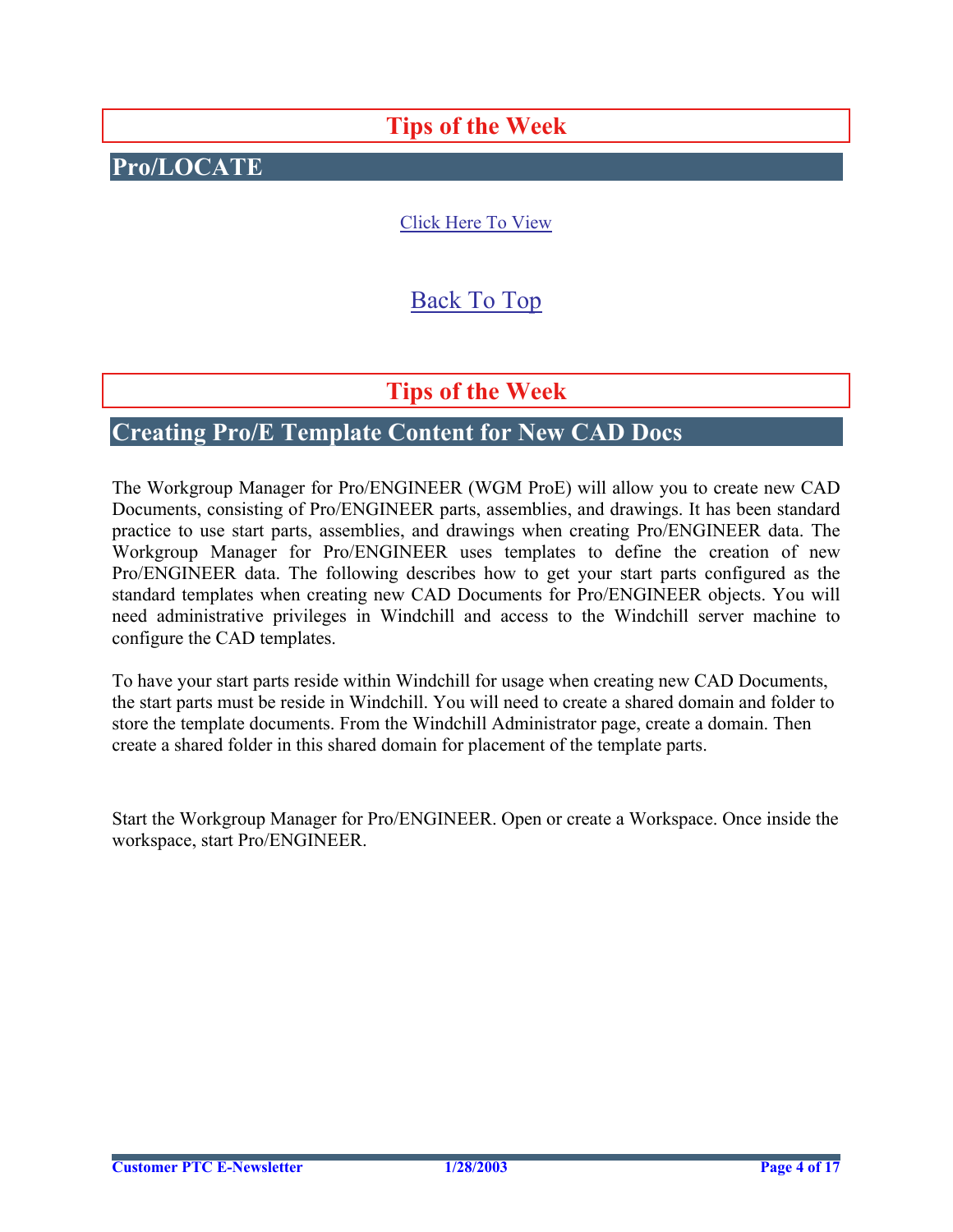# **Tips of the Week**

# <span id="page-3-0"></span>**Pro/LOCATE**

## [Click Here To View](http://www.ptc-mss.com/Tutorial/Tip_Tech/Customer PTC E-Newsletter 1-24-2003_A.pdf)

## [Back To Top](#page-0-0)

## **Tips of the Week**

## **Creating Pro/E Template Content for New CAD Docs**

The Workgroup Manager for Pro/ENGINEER (WGM ProE) will allow you to create new CAD Documents, consisting of Pro/ENGINEER parts, assemblies, and drawings. It has been standard practice to use start parts, assemblies, and drawings when creating Pro/ENGINEER data. The Workgroup Manager for Pro/ENGINEER uses templates to define the creation of new Pro/ENGINEER data. The following describes how to get your start parts configured as the standard templates when creating new CAD Documents for Pro/ENGINEER objects. You will need administrative privileges in Windchill and access to the Windchill server machine to configure the CAD templates.

To have your start parts reside within Windchill for usage when creating new CAD Documents, the start parts must be reside in Windchill. You will need to create a shared domain and folder to store the template documents. From the Windchill Administrator page, create a domain. Then create a shared folder in this shared domain for placement of the template parts.

Start the Workgroup Manager for Pro/ENGINEER. Open or create a Workspace. Once inside the workspace, start Pro/ENGINEER.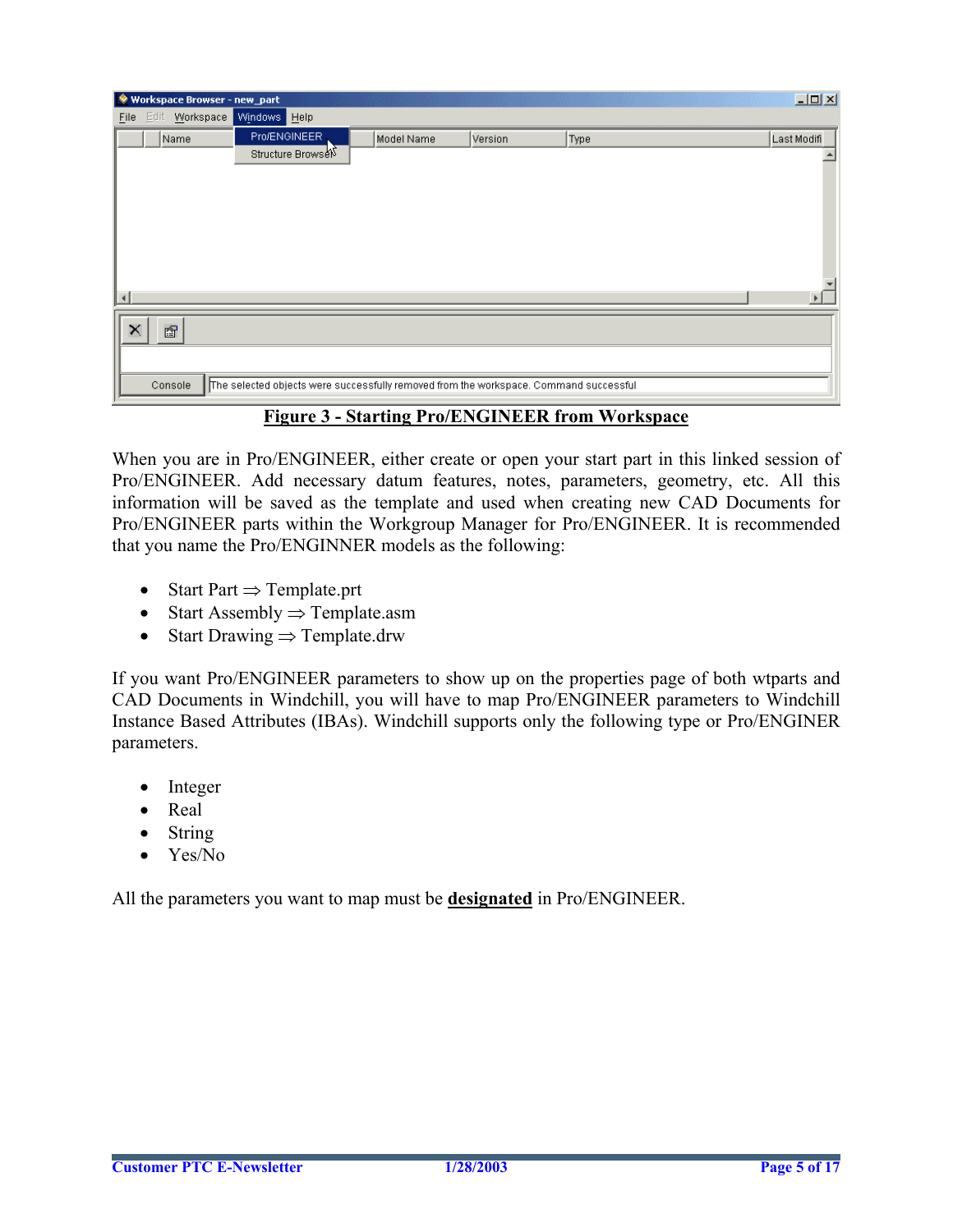|                       | Workspace Browser - new_part |                                                                                       |            |         |      | $\Box$      |
|-----------------------|------------------------------|---------------------------------------------------------------------------------------|------------|---------|------|-------------|
| Eile                  |                              | Edit Workspace Windows Help                                                           |            |         |      |             |
|                       | Name                         | Pro/ENGINEER                                                                          | Model Name | Version | Type | Last Modifi |
|                       |                              | Structure Browsel                                                                     |            |         |      |             |
|                       |                              |                                                                                       |            |         |      |             |
|                       |                              |                                                                                       |            |         |      |             |
|                       |                              |                                                                                       |            |         |      |             |
|                       |                              |                                                                                       |            |         |      |             |
|                       |                              |                                                                                       |            |         |      |             |
|                       |                              |                                                                                       |            |         |      |             |
| $\lvert \cdot \rvert$ |                              |                                                                                       |            |         |      |             |
|                       |                              |                                                                                       |            |         |      |             |
| ×                     | 图                            |                                                                                       |            |         |      |             |
|                       |                              |                                                                                       |            |         |      |             |
|                       | Console                      | The selected objects were successfully removed from the workspace. Command successful |            |         |      |             |
|                       |                              |                                                                                       |            |         |      |             |

### **Figure 3 - Starting Pro/ENGINEER from Workspace**

When you are in Pro/ENGINEER, either create or open your start part in this linked session of Pro/ENGINEER. Add necessary datum features, notes, parameters, geometry, etc. All this information will be saved as the template and used when creating new CAD Documents for Pro/ENGINEER parts within the Workgroup Manager for Pro/ENGINEER. It is recommended that you name the Pro/ENGINNER models as the following:

- Start Part ⇒ Template.prt
- Start Assembly ⇒ Template.asm
- Start Drawing  $\Rightarrow$  Template.drw

If you want Pro/ENGINEER parameters to show up on the properties page of both wtparts and CAD Documents in Windchill, you will have to map Pro/ENGINEER parameters to Windchill Instance Based Attributes (IBAs). Windchill supports only the following type or Pro/ENGINER parameters.

- Integer
- Real
- String
- Yes/No

All the parameters you want to map must be **designated** in Pro/ENGINEER.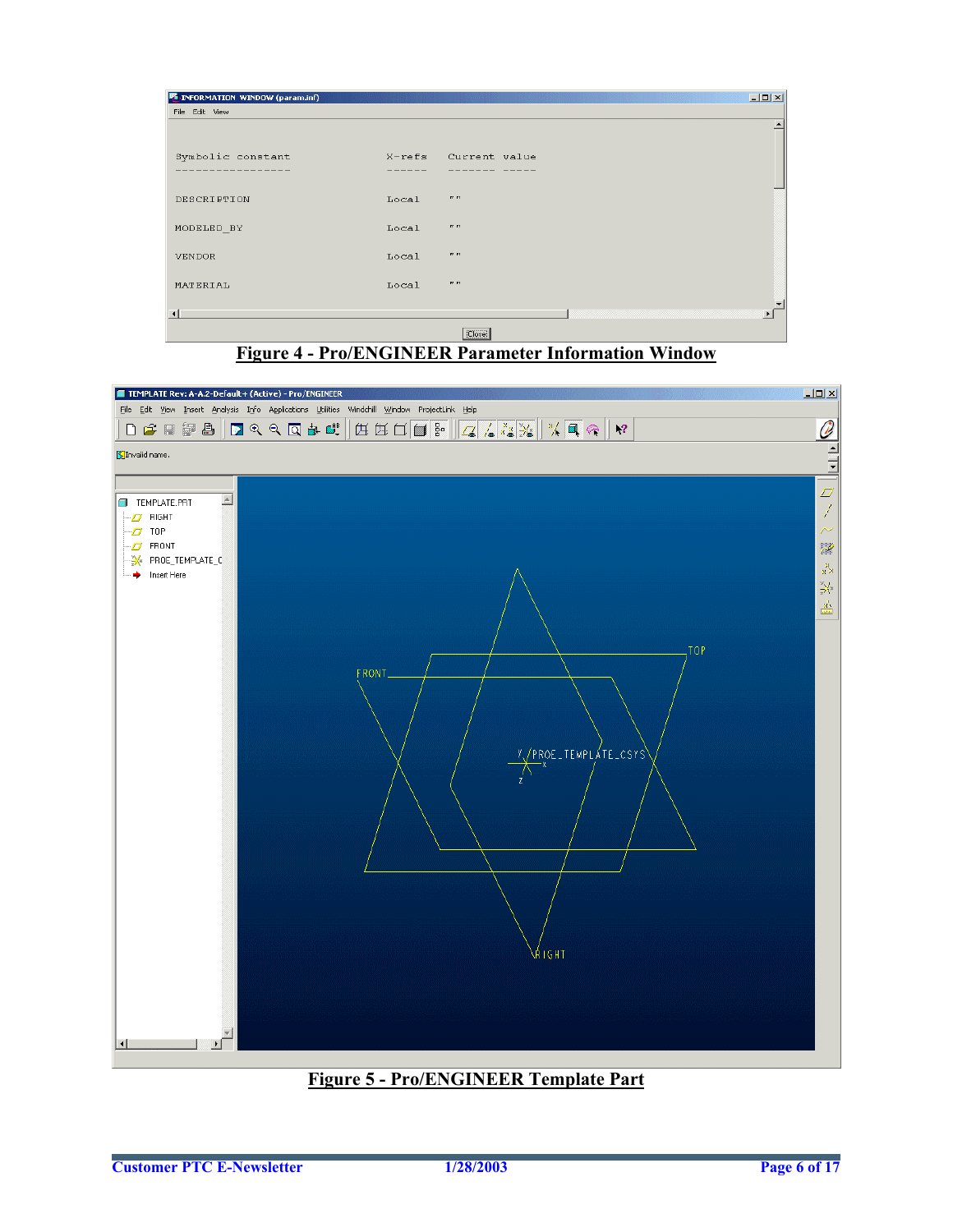| <b>F</b> INFORMATION WINDOW (param.inf) |       |                      | $-10x$              |
|-----------------------------------------|-------|----------------------|---------------------|
| File Edit View                          |       |                      |                     |
|                                         |       |                      |                     |
| Symbolic constant                       |       | X-refs Current value |                     |
|                                         |       |                      |                     |
| DESCRIPTION                             | Local | P1 P2                |                     |
|                                         |       |                      |                     |
| MODELED_BY                              | Local | 17.77                |                     |
| VENDOR                                  | Local | P P P P              |                     |
|                                         |       |                      |                     |
| MATERIAL                                | Local | $\mathbf{r}$         |                     |
| $\lvert \cdot \rvert$                   |       |                      | $\vert \cdot \vert$ |
|                                         |       | Close                |                     |





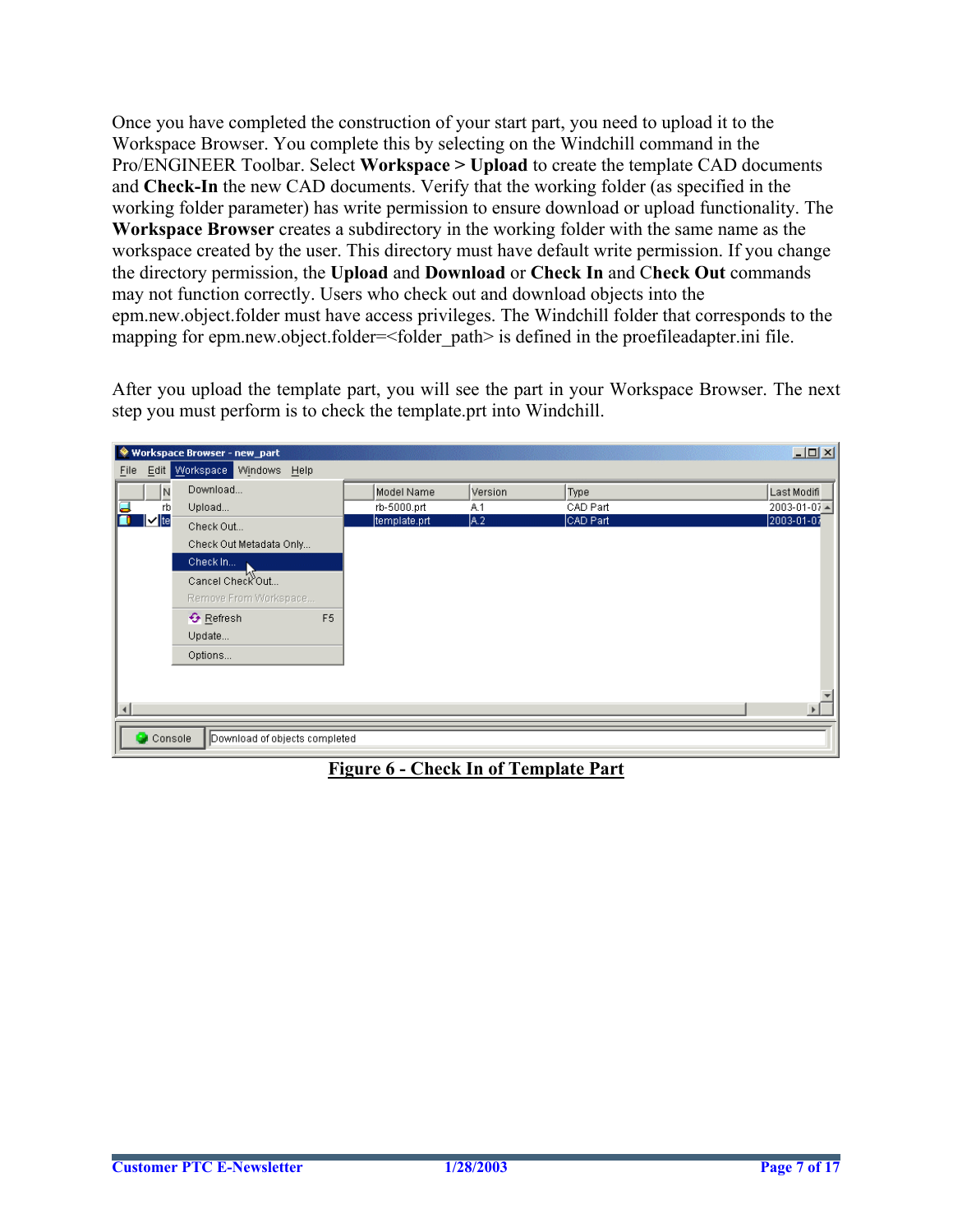Once you have completed the construction of your start part, you need to upload it to the Workspace Browser. You complete this by selecting on the Windchill command in the Pro/ENGINEER Toolbar. Select **Workspace > Upload** to create the template CAD documents and **Check-In** the new CAD documents. Verify that the working folder (as specified in the working folder parameter) has write permission to ensure download or upload functionality. The **Workspace Browser** creates a subdirectory in the working folder with the same name as the workspace created by the user. This directory must have default write permission. If you change the directory permission, the **Upload** and **Download** or **Check In** and C**heck Out** commands may not function correctly. Users who check out and download objects into the epm.new.object.folder must have access privileges. The Windchill folder that corresponds to the mapping for epm.new.object.folder=<folder path> is defined in the proefileadapter.ini file.

After you upload the template part, you will see the part in your Workspace Browser. The next step you must perform is to check the template.prt into Windchill.

| Workspace Browser - new_part                       |                |              |         |          | $-10 \times$                 |
|----------------------------------------------------|----------------|--------------|---------|----------|------------------------------|
| File Edit Workspace Windows Help                   |                |              |         |          |                              |
| Download<br>N                                      |                | Model Name   | Version | Type     | Last Modifi                  |
| α<br>Upload<br>rb                                  |                | rb-5000.prt  | A.1     | CAD Part | $2003 - 01 - 07$ $\triangle$ |
| $ v $ te<br>Check Out                              |                | template.prt | A.2     | CAD Part | 2003-01-07                   |
| Check Out Metadata Only                            |                |              |         |          |                              |
| Check In                                           |                |              |         |          |                              |
| Cancel Check Out                                   |                |              |         |          |                              |
| Remove From Workspace                              |                |              |         |          |                              |
| ← Refresh                                          | F <sub>5</sub> |              |         |          |                              |
| Update                                             |                |              |         |          |                              |
| Options                                            |                |              |         |          |                              |
|                                                    |                |              |         |          |                              |
|                                                    |                |              |         |          |                              |
| $\blacktriangleleft$                               |                |              |         |          |                              |
| $\bullet$ Console<br>Download of objects completed |                |              |         |          |                              |

**Figure 6 - Check In of Template Part**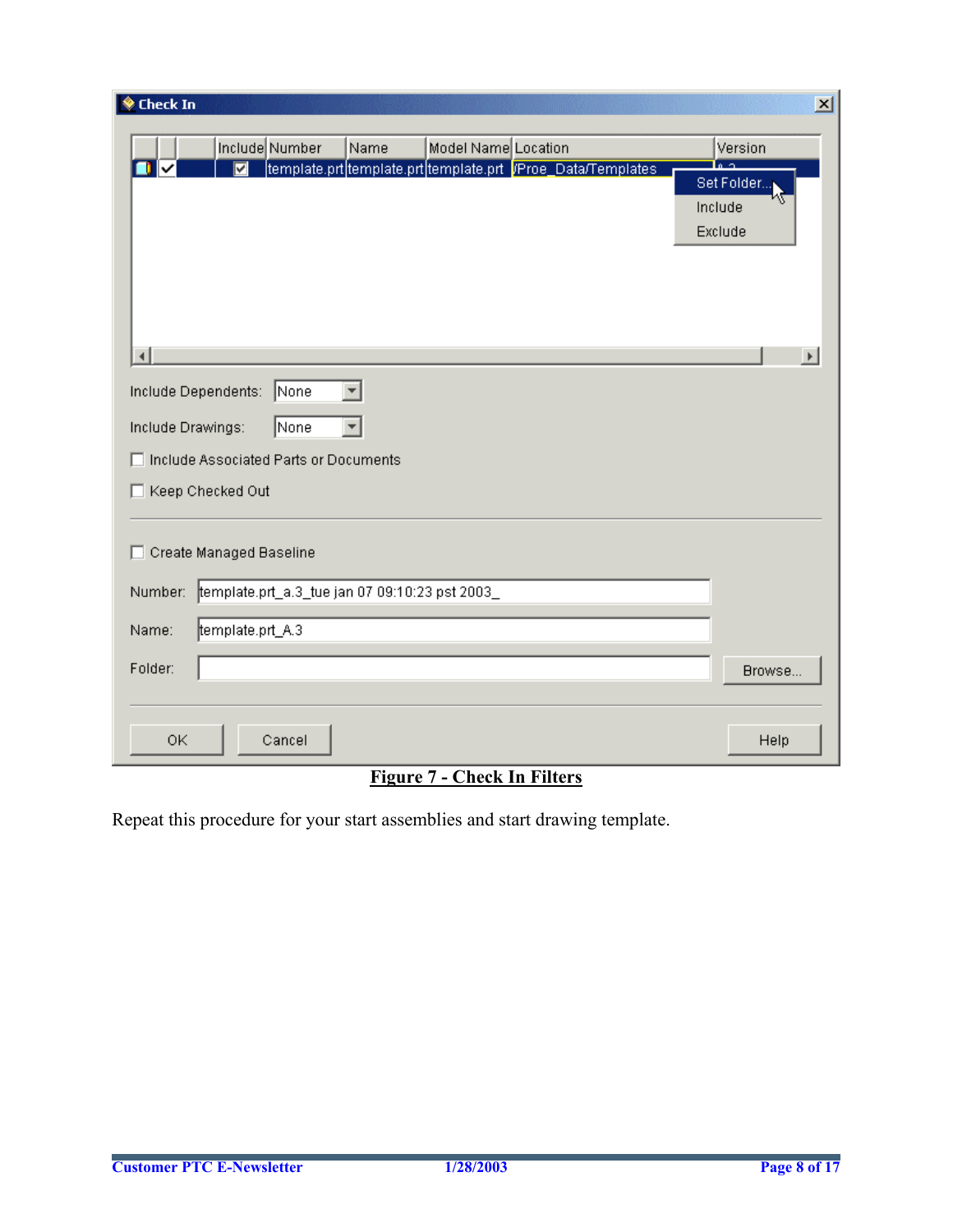| <b>♦ Check In</b>                                                                                                            | $\vert x \vert$                             |
|------------------------------------------------------------------------------------------------------------------------------|---------------------------------------------|
| Include Number<br>Name<br>Model Name Location<br>template.prt template.prt template.prt= <mark>/Proe_Data/Templates</mark>   | Version<br>Set Folder<br>Include<br>Exclude |
| ⊣<br>Include Dependents:<br>None<br>None<br>Include Drawings:<br>Include Associated Parts or Documents<br>Keep Checked Out   | $\blacktriangleright$                       |
| Create Managed Baseline<br>template.prt_a.3_tue jan 07 09:10:23 pst 2003_<br>Number:<br>template.prt_A.3<br>Name:<br>Folder: | Browse                                      |
| 0K<br>Cancel                                                                                                                 | Help                                        |

### **Figure 7 - Check In Filters**

Repeat this procedure for your start assemblies and start drawing template.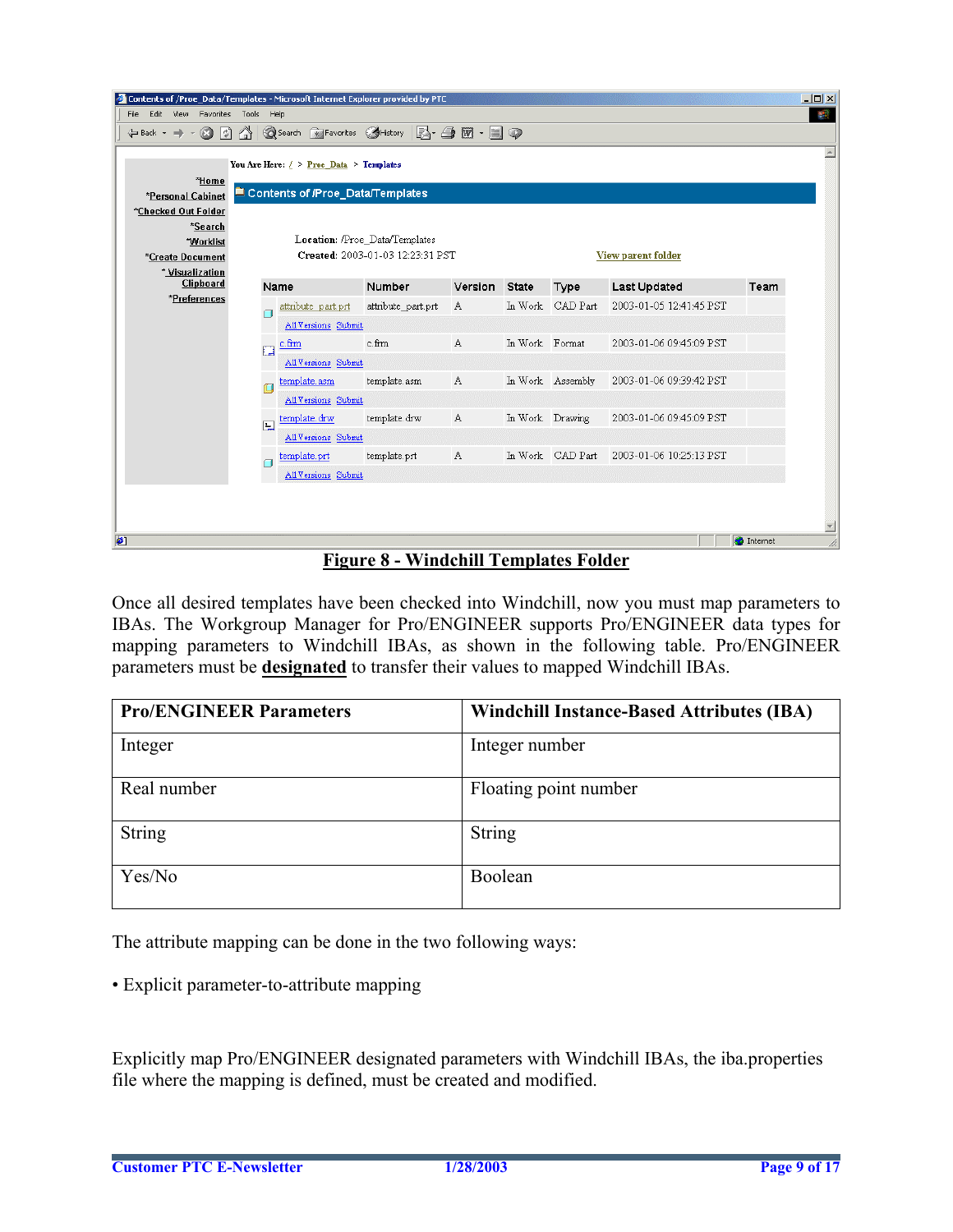| $   $ $  $ $\times$ $ $<br>Contents of /Proe_Data/Templates - Microsoft Internet Explorer provided by PTC |                                      |                                           |                                                                    |                                                                |                 |                  |                         |                   |   |
|-----------------------------------------------------------------------------------------------------------|--------------------------------------|-------------------------------------------|--------------------------------------------------------------------|----------------------------------------------------------------|-----------------|------------------|-------------------------|-------------------|---|
| File                                                                                                      | Edit View Favorites Tools Help<br>40 |                                           |                                                                    |                                                                |                 |                  |                         |                   |   |
| िरो<br><br>Back - →<br>Ø                                                                                  | ⚠                                    | Search <b>*</b> Favorites & History       |                                                                    | $\boxtimes \cdot \oplus \boxtimes \cdot \boxplus \circledcirc$ |                 |                  |                         |                   |   |
|                                                                                                           |                                      | You Are Here: $/$ > Proe Data > Templates |                                                                    |                                                                |                 |                  |                         |                   | 国 |
| *Home                                                                                                     |                                      |                                           |                                                                    |                                                                |                 |                  |                         |                   |   |
| *Personal Cabinet                                                                                         |                                      | Contents of /Proe_Data/Templates          |                                                                    |                                                                |                 |                  |                         |                   |   |
| *Checked Out Folder                                                                                       |                                      |                                           |                                                                    |                                                                |                 |                  |                         |                   |   |
| *Search                                                                                                   |                                      |                                           |                                                                    |                                                                |                 |                  |                         |                   |   |
| *Worklist                                                                                                 |                                      |                                           | Location: /Proe_Data/Templates<br>Created: 2003-01-03 12:23:31 PST |                                                                |                 |                  |                         |                   |   |
| *Create Document<br>* Visualization                                                                       |                                      |                                           |                                                                    |                                                                |                 |                  | View parent folder      |                   |   |
| Clipboard                                                                                                 |                                      | Name                                      | Number                                                             | Version State                                                  |                 | Type             | <b>Last Updated</b>     | Team              |   |
| *Preferences                                                                                              |                                      | attribute part.prt                        | attribute part.prt                                                 | A                                                              |                 | In Work CAD Part | 2003-01-05 12:41:45 PST |                   |   |
|                                                                                                           |                                      | All Versions Submit                       |                                                                    |                                                                |                 |                  |                         |                   |   |
|                                                                                                           |                                      | c.frm                                     | c.frm                                                              | A                                                              | In Work Format  |                  | 2003-01-06 09:45:09 PST |                   |   |
|                                                                                                           | 膻                                    | All Versions Submit                       |                                                                    |                                                                |                 |                  |                         |                   |   |
|                                                                                                           | Œ                                    | template.asm                              | template.asm                                                       | A                                                              |                 | In Work Assembly | 2003-01-06 09:39:42 PST |                   |   |
|                                                                                                           |                                      | All Versions Submit                       |                                                                    |                                                                |                 |                  |                         |                   |   |
|                                                                                                           |                                      | template.drw                              | template.drw                                                       | А                                                              | In Work Drawing |                  | 2003-01-06 09:45:09 PST |                   |   |
|                                                                                                           | 鳳                                    | All Versions Submit                       |                                                                    |                                                                |                 |                  |                         |                   |   |
|                                                                                                           |                                      | template.prt                              | template.prt                                                       | A                                                              |                 | In Work CAD Part | 2003-01-06 10:25:13 PST |                   |   |
|                                                                                                           |                                      | All Versions Submit                       |                                                                    |                                                                |                 |                  |                         |                   |   |
|                                                                                                           |                                      |                                           |                                                                    |                                                                |                 |                  |                         |                   |   |
|                                                                                                           |                                      |                                           |                                                                    |                                                                |                 |                  |                         |                   |   |
|                                                                                                           |                                      |                                           |                                                                    |                                                                |                 |                  |                         |                   |   |
| €                                                                                                         |                                      |                                           |                                                                    |                                                                |                 |                  |                         | <b>O</b> Internet |   |

#### **Figure 8 - Windchill Templates Folder**

Once all desired templates have been checked into Windchill, now you must map parameters to IBAs. The Workgroup Manager for Pro/ENGINEER supports Pro/ENGINEER data types for mapping parameters to Windchill IBAs, as shown in the following table. Pro/ENGINEER parameters must be **designated** to transfer their values to mapped Windchill IBAs.

| <b>Pro/ENGINEER Parameters</b> | <b>Windchill Instance-Based Attributes (IBA)</b> |
|--------------------------------|--------------------------------------------------|
| Integer                        | Integer number                                   |
| Real number                    | Floating point number                            |
| <b>String</b>                  | <b>String</b>                                    |
| Yes/No                         | Boolean                                          |

The attribute mapping can be done in the two following ways:

• Explicit parameter-to-attribute mapping

Explicitly map Pro/ENGINEER designated parameters with Windchill IBAs, the iba.properties file where the mapping is defined, must be created and modified.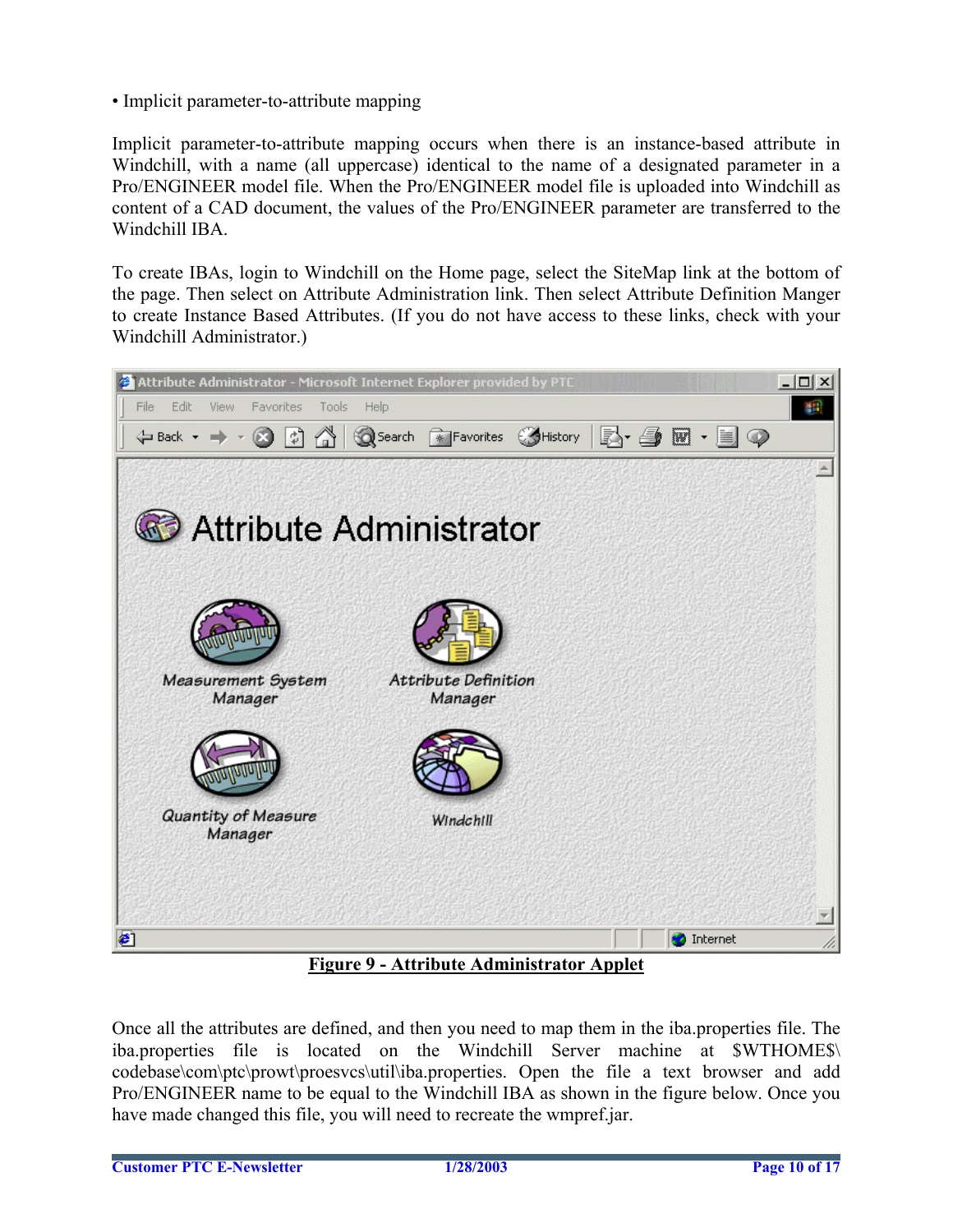• Implicit parameter-to-attribute mapping

Implicit parameter-to-attribute mapping occurs when there is an instance-based attribute in Windchill, with a name (all uppercase) identical to the name of a designated parameter in a Pro/ENGINEER model file. When the Pro/ENGINEER model file is uploaded into Windchill as content of a CAD document, the values of the Pro/ENGINEER parameter are transferred to the Windchill IBA.

To create IBAs, login to Windchill on the Home page, select the SiteMap link at the bottom of the page. Then select on Attribute Administration link. Then select Attribute Definition Manger to create Instance Based Attributes. (If you do not have access to these links, check with your Windchill Administrator.)



**Figure 9 - Attribute Administrator Applet**

Once all the attributes are defined, and then you need to map them in the iba.properties file. The iba.properties file is located on the Windchill Server machine at \$WTHOME\$\ codebase\com\ptc\prowt\proesvcs\util\iba.properties. Open the file a text browser and add Pro/ENGINEER name to be equal to the Windchill IBA as shown in the figure below. Once you have made changed this file, you will need to recreate the wmpref.jar.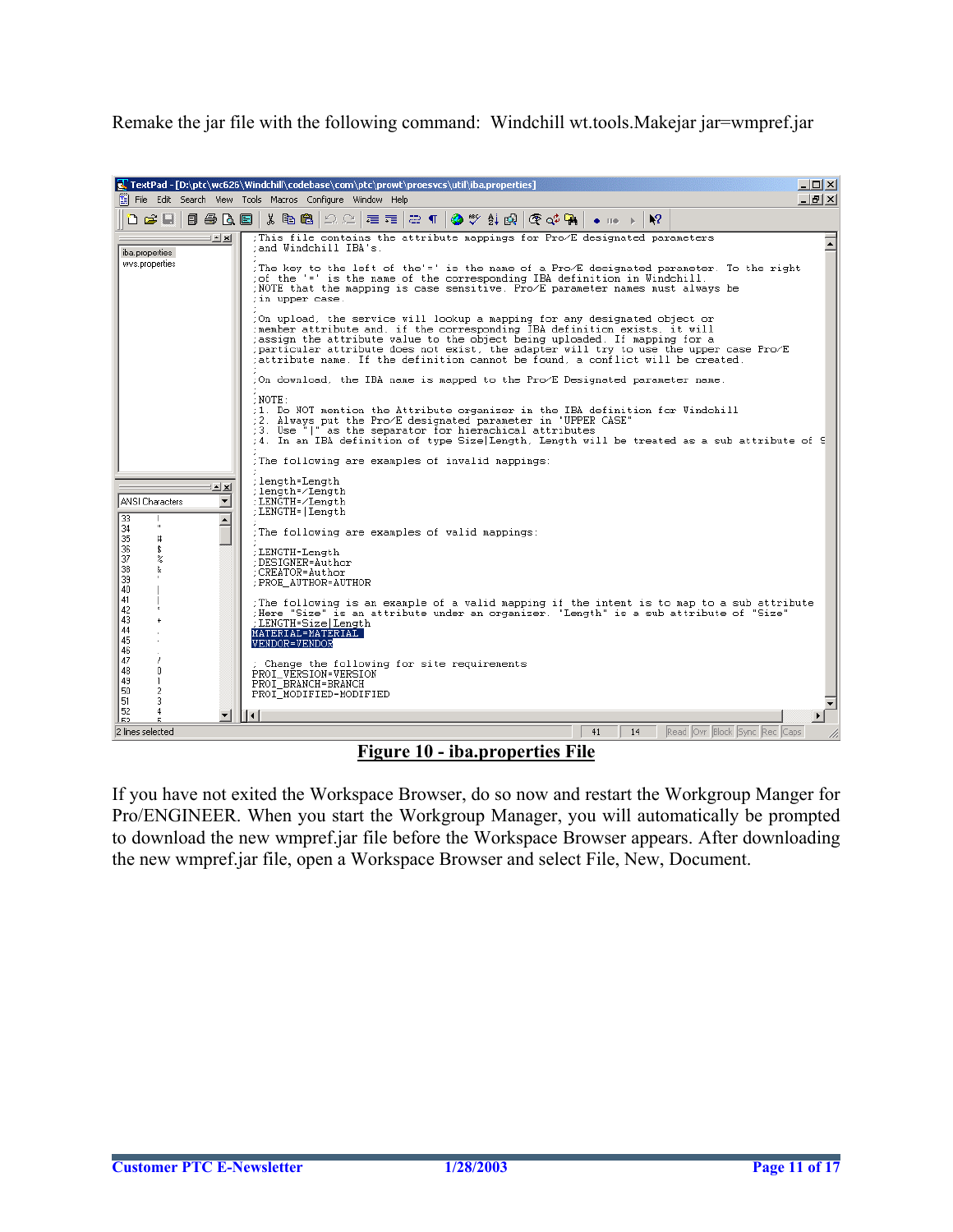Remake the jar file with the following command: Windchill wt.tools.Makejar jar=wmpref.jar



**Figure 10 - iba.properties File**

If you have not exited the Workspace Browser, do so now and restart the Workgroup Manger for Pro/ENGINEER. When you start the Workgroup Manager, you will automatically be prompted to download the new wmpref.jar file before the Workspace Browser appears. After downloading the new wmpref.jar file, open a Workspace Browser and select File, New, Document.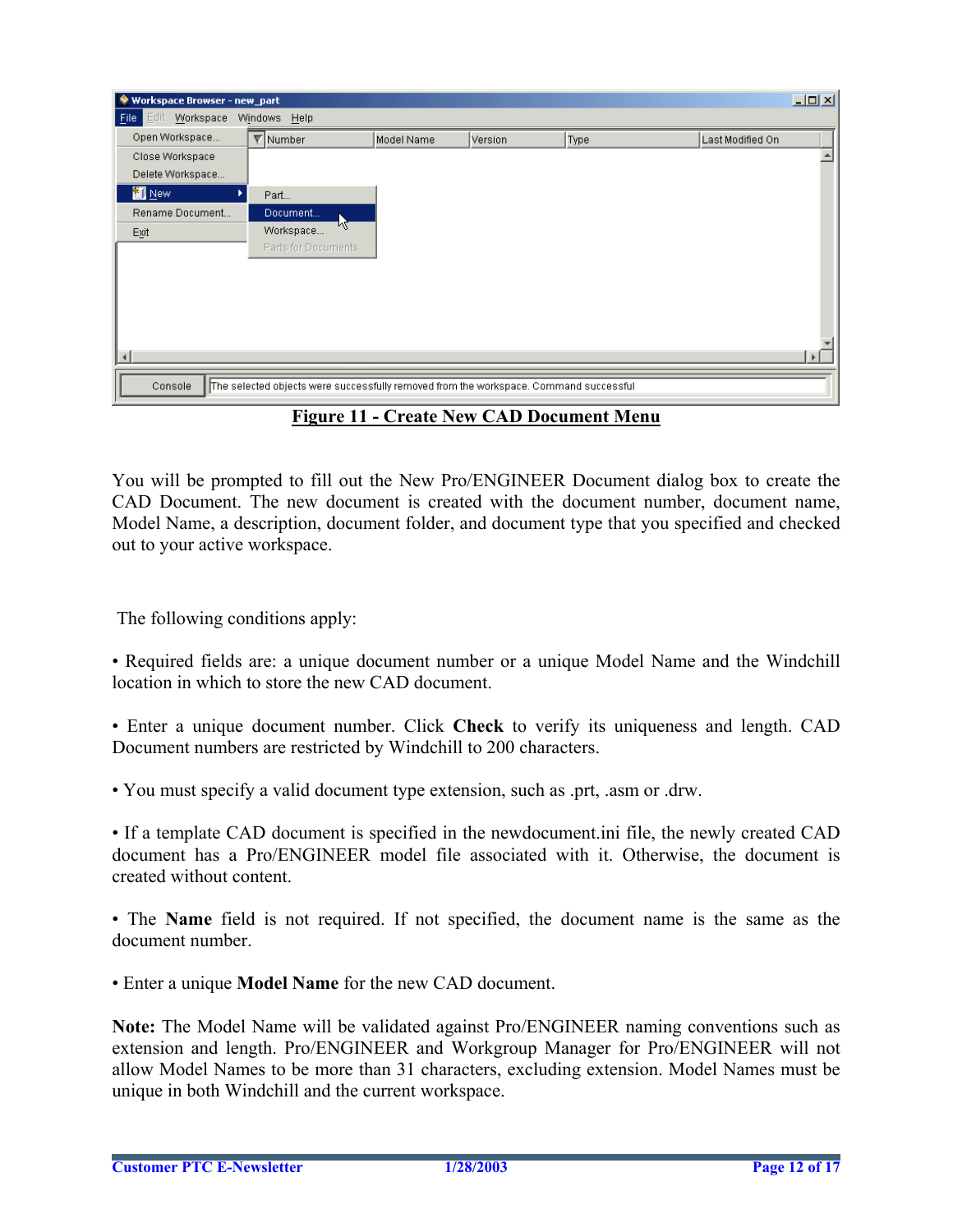| Workspace Browser - new_part |                                                                                       |            |         |      |                  | $\Box$           |
|------------------------------|---------------------------------------------------------------------------------------|------------|---------|------|------------------|------------------|
| Edt<br>Workspace<br>Eile     | Windows Help                                                                          |            |         |      |                  |                  |
| Open Workspace               | $\nabla$ Number                                                                       | Model Name | Version | Type | Last Modified On |                  |
| Close Workspace              |                                                                                       |            |         |      |                  | $\blacktriangle$ |
| Delete Workspace             |                                                                                       |            |         |      |                  |                  |
| <b>New</b>                   | Part                                                                                  |            |         |      |                  |                  |
| Rename Document              | Document                                                                              |            |         |      |                  |                  |
| Exit                         | W<br>Workspace                                                                        |            |         |      |                  |                  |
|                              | Parts for Documents                                                                   |            |         |      |                  |                  |
|                              |                                                                                       |            |         |      |                  |                  |
|                              |                                                                                       |            |         |      |                  |                  |
|                              |                                                                                       |            |         |      |                  |                  |
|                              |                                                                                       |            |         |      |                  |                  |
|                              |                                                                                       |            |         |      |                  |                  |
| $\overline{4}$               |                                                                                       |            |         |      |                  | $\mathbf{r}$     |
| Console                      | The selected objects were successfully removed from the workspace. Command successful |            |         |      |                  |                  |
|                              |                                                                                       |            |         |      |                  |                  |

**Figure 11 - Create New CAD Document Menu**

You will be prompted to fill out the New Pro/ENGINEER Document dialog box to create the CAD Document. The new document is created with the document number, document name, Model Name, a description, document folder, and document type that you specified and checked out to your active workspace.

The following conditions apply:

• Required fields are: a unique document number or a unique Model Name and the Windchill location in which to store the new CAD document.

• Enter a unique document number. Click **Check** to verify its uniqueness and length. CAD Document numbers are restricted by Windchill to 200 characters.

• You must specify a valid document type extension, such as .prt, .asm or .drw.

• If a template CAD document is specified in the newdocument.ini file, the newly created CAD document has a Pro/ENGINEER model file associated with it. Otherwise, the document is created without content.

• The **Name** field is not required. If not specified, the document name is the same as the document number.

• Enter a unique **Model Name** for the new CAD document.

**Note:** The Model Name will be validated against Pro/ENGINEER naming conventions such as extension and length. Pro/ENGINEER and Workgroup Manager for Pro/ENGINEER will not allow Model Names to be more than 31 characters, excluding extension. Model Names must be unique in both Windchill and the current workspace.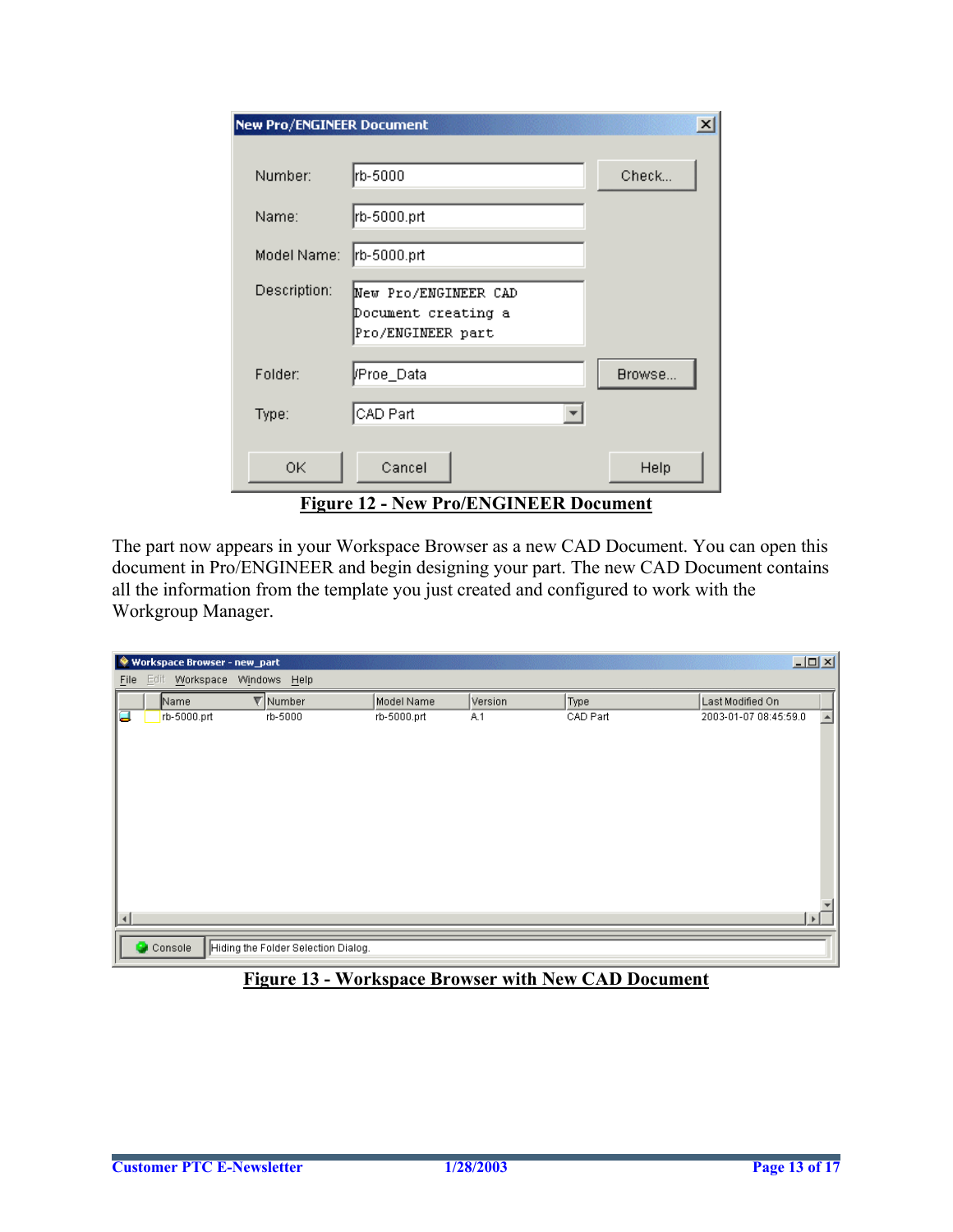| <b>New Pro/ENGINEER Document</b> |                                                                  | $\vert x \vert$ |
|----------------------------------|------------------------------------------------------------------|-----------------|
| Number:                          | rb-5000                                                          | Check           |
| Name:                            | rb-5000.prt                                                      |                 |
| Model Name:                      | rb-5000.prt                                                      |                 |
| Description:                     | New Pro/ENGINEER CAD<br>Document creating a<br>Pro/ENGINEER part |                 |
| Folder:                          | ∦Proe_Data                                                       | Browse          |
| Type:                            | CAD Part                                                         |                 |
| 0K                               | Cancel                                                           | Help            |
|                                  | <b>Figure 12 - New Pro/ENGINEER Document</b>                     |                 |

The part now appears in your Workspace Browser as a new CAD Document. You can open this document in Pro/ENGINEER and begin designing your part. The new CAD Document contains all the information from the template you just created and configured to work with the Workgroup Manager.

|                  | Workspace Browser - new_part |                                     |             |         |          | $\Box$                |   |
|------------------|------------------------------|-------------------------------------|-------------|---------|----------|-----------------------|---|
| Eile             | Edit Workspace Windows Help  |                                     |             |         |          |                       |   |
|                  | Name                         | $\nabla$ Number                     | Model Name  | Version | Type     | Last Modified On      |   |
| α                | rb-5000.prt                  | rb-5000                             | rb-5000.prt | A.1     | CAD Part | 2003-01-07 08:45:59.0 | ∸ |
|                  |                              |                                     |             |         |          |                       |   |
|                  |                              |                                     |             |         |          |                       |   |
|                  |                              |                                     |             |         |          |                       |   |
|                  |                              |                                     |             |         |          |                       |   |
|                  |                              |                                     |             |         |          |                       |   |
|                  |                              |                                     |             |         |          |                       |   |
|                  |                              |                                     |             |         |          |                       |   |
|                  |                              |                                     |             |         |          |                       |   |
|                  |                              |                                     |             |         |          |                       |   |
|                  |                              |                                     |             |         |          |                       |   |
| $\left  \right $ |                              |                                     |             |         |          | $\mathbf{F}$          |   |
|                  | Console                      | Hiding the Folder Selection Dialog. |             |         |          |                       |   |
|                  |                              |                                     |             |         |          |                       |   |

### **Figure 13 - Workspace Browser with New CAD Document**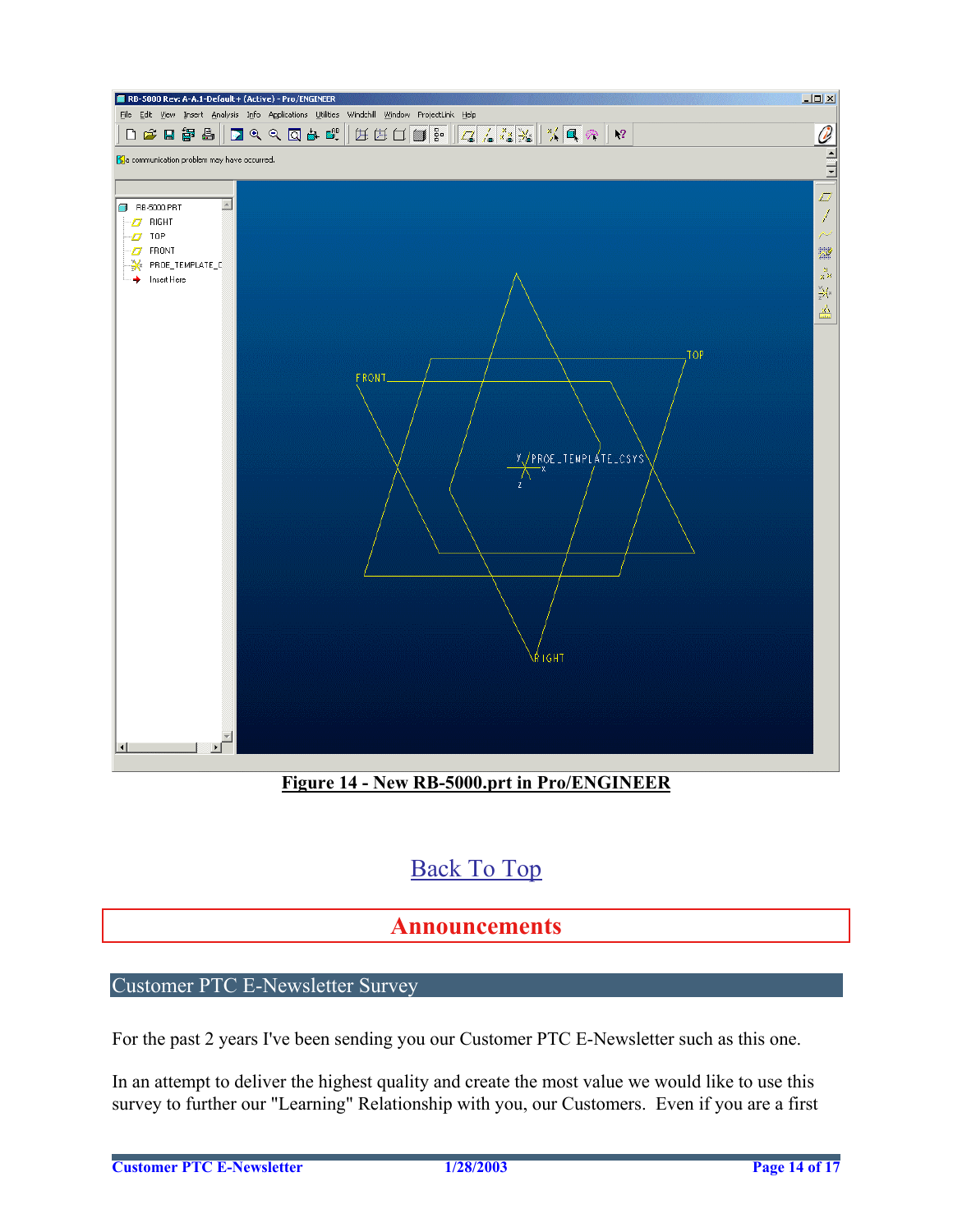<span id="page-13-0"></span>

**Figure 14 - New RB-5000.prt in Pro/ENGINEER**

# [Back To Top](#page-0-0)

## **Announcements**

## Customer PTC E-Newsletter Survey

For the past 2 years I've been sending you our Customer PTC E-Newsletter such as this one.

In an attempt to deliver the highest quality and create the most value we would like to use this survey to further our "Learning" Relationship with you, our Customers. Even if you are a first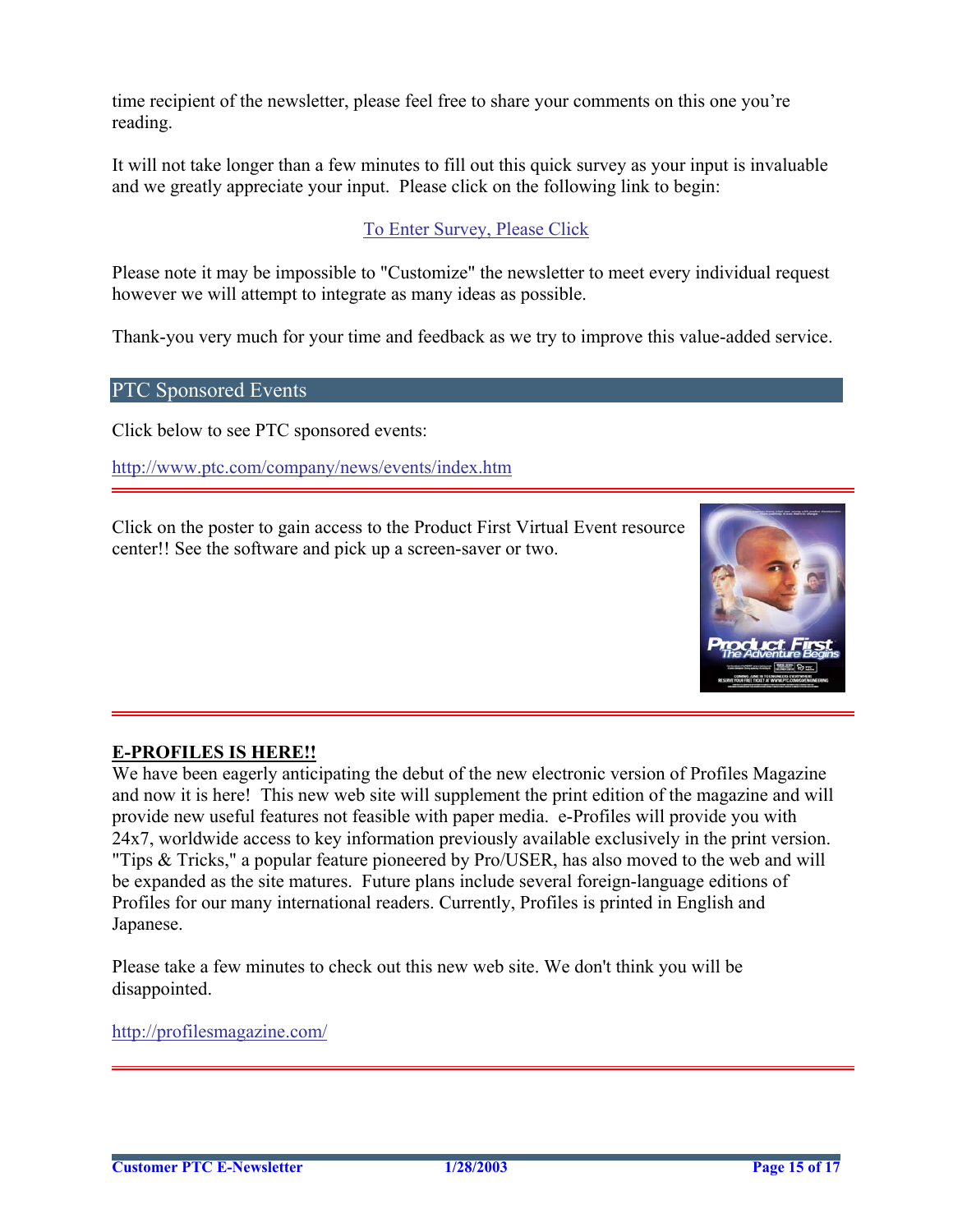time recipient of the newsletter, please feel free to share your comments on this one you're reading.

It will not take longer than a few minutes to fill out this quick survey as your input is invaluable and we greatly appreciate your input. Please click on the following link to begin:

### [To Enter Survey, Please Click](http://www.zoomerang.com/survey.zgi?54VBJVHDAQYET9LJJT1DWKC4)

Please note it may be impossible to "Customize" the newsletter to meet every individual request however we will attempt to integrate as many ideas as possible.

Thank-you very much for your time and feedback as we try to improve this value-added service.

### PTC Sponsored Events

Click below to see PTC sponsored events:

<http://www.ptc.com/company/news/events/index.htm>

Click on the poster to gain access to the Product First Virtual Event resource center!! See the software and pick up a screen-saver or two.



### **E-PROFILES IS HERE!!**

We have been eagerly anticipating the debut of the new electronic version of Profiles Magazine and now it is here! This new web site will supplement the print edition of the magazine and will provide new useful features not feasible with paper media. e-Profiles will provide you with 24x7, worldwide access to key information previously available exclusively in the print version. "Tips & Tricks," a popular feature pioneered by Pro/USER, has also moved to the web and will be expanded as the site matures. Future plans include several foreign-language editions of Profiles for our many international readers. Currently, Profiles is printed in English and Japanese.

Please take a few minutes to check out this new web site. We don't think you will be disappointed.

<http://profilesmagazine.com/>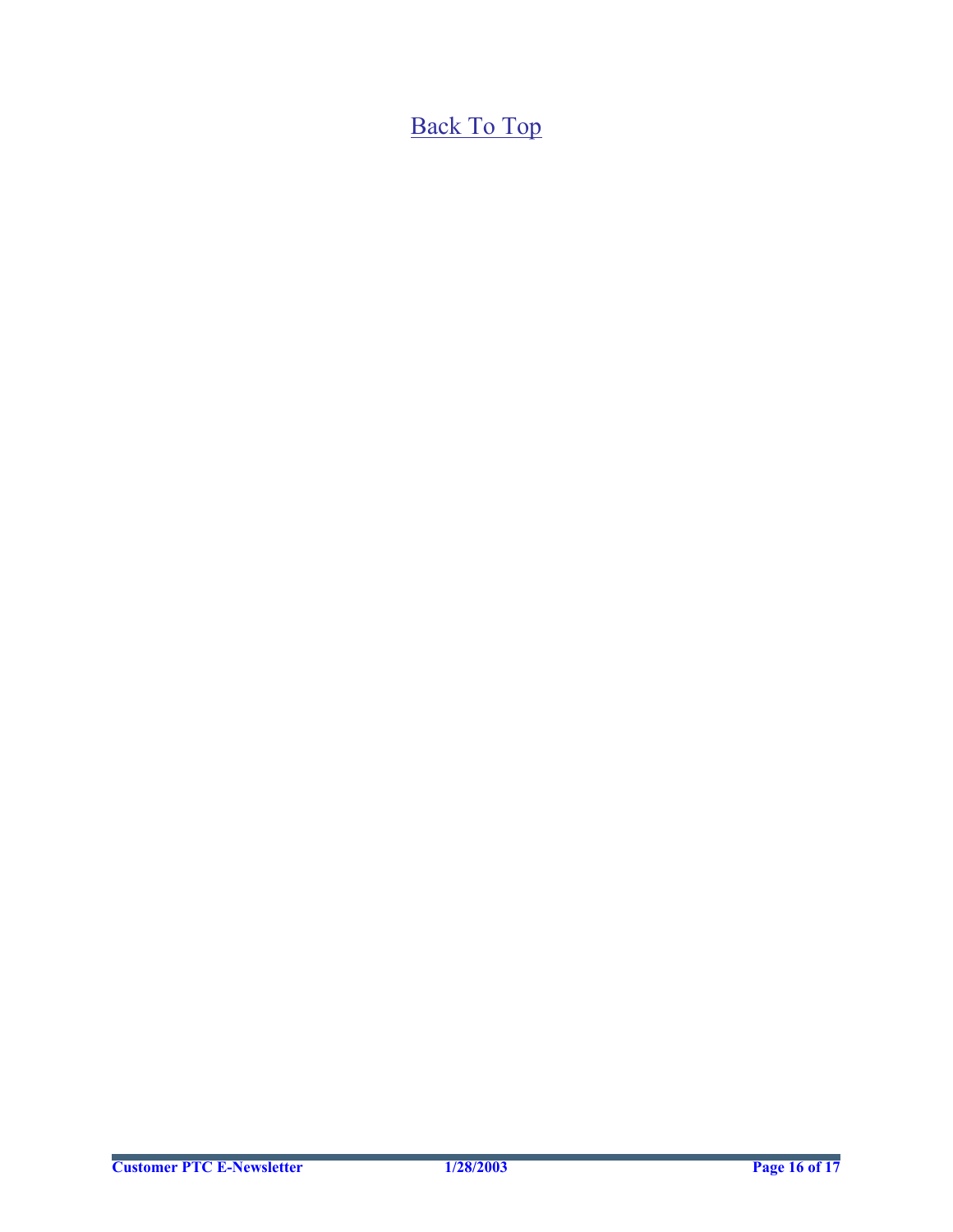[Back To Top](#page-0-0)